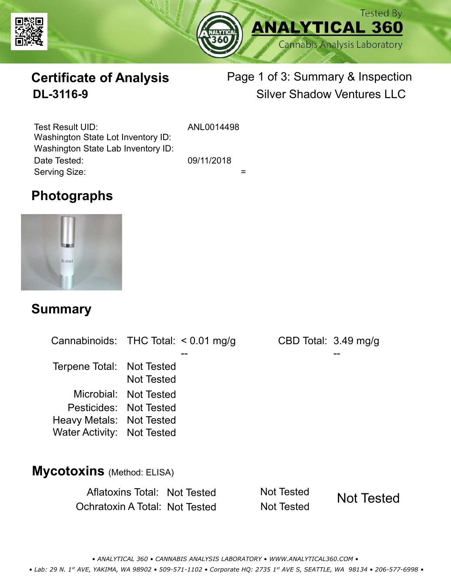



# **Certificate of Analysis**

# Page 1 of 3: Summary & Inspection **DL-3116-9** Silver Shadow Ventures LLC

Serving Size:  $=$ Test Result UID: ANL0014498 Date Tested: 09/11/2018 Washington State Lot Inventory ID: Washington State Lab Inventory ID:

## **Photographs**



### **Summary**

Cannabinoids: THC Total:  $< 0.01$  mg/g Terpene Total: Not Tested Microbial: Not Tested CBD Total: 3.49 mg/g Pesticides: Not Tested Heavy Metals: Not Tested -- -- Not Tested Water Activity: Not Tested **Mycotoxins** (Method: ELISA)

> Aflatoxins Total: Not Tested Not Tested Ochratoxin A Total: Not Tested Not Tested Not Tested

*• ANALYTICAL 360 • CANNABIS ANALYSIS LABORATORY • WWW.ANALYTICAL360.COM • • Lab: 29 N. 1st AVE, YAKIMA, WA 98902 • 509-571-1102 • Corporate HQ: 2735 1st AVE S, SEATTLE, WA 98134 • 206-577-6998 •*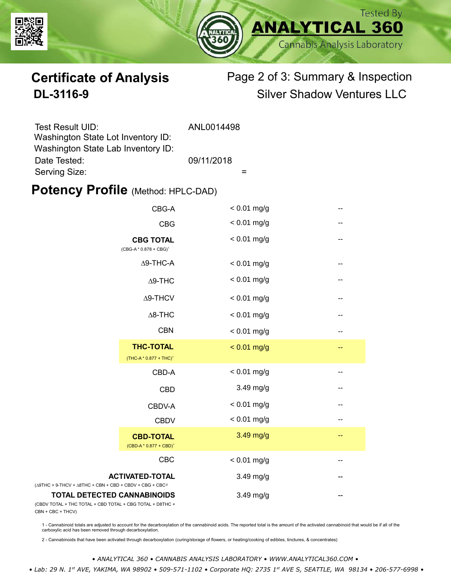



# **Certificate of Analysis** Page 2 of 3: Summary & Inspection **DL-3116-9** Silver Shadow Ventures LLC

| Test Result UID:                   | ANL0014498 |
|------------------------------------|------------|
| Washington State Lot Inventory ID: |            |
| Washington State Lab Inventory ID: |            |
| Date Tested:                       | 09/11/2018 |
| Serving Size:                      |            |

### **Potency Profile (Method: HPLC-DAD)**

|                                                                                                 | CBG-A                                                  | $< 0.01$ mg/g |                          |
|-------------------------------------------------------------------------------------------------|--------------------------------------------------------|---------------|--------------------------|
|                                                                                                 | <b>CBG</b>                                             | $< 0.01$ mg/g | --                       |
|                                                                                                 | <b>CBG TOTAL</b><br>$(CBG-A * 0.878 + CBG)^1$          | $< 0.01$ mg/g | $\qquad \qquad -$        |
|                                                                                                 | $\Delta$ 9-THC-A                                       | $< 0.01$ mg/g | $\overline{\phantom{m}}$ |
|                                                                                                 | $\Delta$ 9-THC                                         | $< 0.01$ mg/g | $\qquad \qquad -$        |
|                                                                                                 | $\Delta$ 9-THCV                                        | $< 0.01$ mg/g | $\overline{\phantom{m}}$ |
|                                                                                                 | $\Delta$ 8-THC                                         | $< 0.01$ mg/g | --                       |
|                                                                                                 | <b>CBN</b>                                             | $< 0.01$ mg/g | $-$                      |
|                                                                                                 | <b>THC-TOTAL</b><br>(THC-A * 0.877 + THC) <sup>1</sup> | $< 0.01$ mg/g | $-$                      |
|                                                                                                 | CBD-A                                                  | $< 0.01$ mg/g | --                       |
|                                                                                                 | <b>CBD</b>                                             | $3.49$ mg/g   | $\overline{\phantom{a}}$ |
|                                                                                                 | CBDV-A                                                 | $< 0.01$ mg/g | --                       |
|                                                                                                 | <b>CBDV</b>                                            | $< 0.01$ mg/g | --                       |
|                                                                                                 | <b>CBD-TOTAL</b><br>$(CBD-A * 0.877 + CBD)^1$          | 3.49 mg/g     | $-$                      |
|                                                                                                 | CBC                                                    | $< 0.01$ mg/g | --                       |
| $(\Delta 9THC + 9-THCV + \Delta 8THC + CBN + CBD + CBDV + CBC + CBC)^2$                         | <b>ACTIVATED-TOTAL</b>                                 | 3.49 mg/g     |                          |
| <b>TOTAL DETECTED CANNABINOIDS</b><br>(CBDV TOTAL + THC TOTAL + CBD TOTAL + CBG TOTAL + D8THC + |                                                        | 3.49 mg/g     |                          |

(CBDV TOTAL + THC TOTA CBN + CBC + THCV)

1 - Cannabinoid totals are adjusted to account for the decarboxylation of the cannabinoid acids. The reported total is the amount of the activated cannabinoid that would be if all of the<br>carboxylic acid has been removed th

2 - Cannabinoids that have been activated through decarboxylation (curing/storage of flowers, or heating/cooking of edibles, tinctures, & concentrates)

*• ANALYTICAL 360 • CANNABIS ANALYSIS LABORATORY • WWW.ANALYTICAL360.COM •*

 *• Lab: 29 N. 1st AVE, YAKIMA, WA 98902 • 509-571-1102 • Corporate HQ: 2735 1st AVE S, SEATTLE, WA 98134 • 206-577-6998 •*